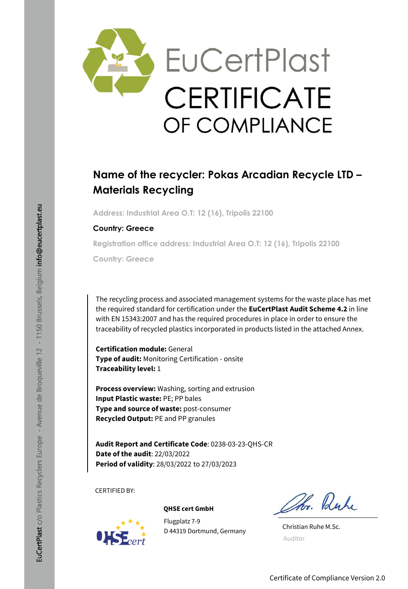

## **Name of the recycler: Pokas Arcadian Recycle LTD – Materials Recycling**

**Address: Industrial Area O.T: 12 (16), Tripolis 22100**

#### **Country: Greece**

**Registration office address: Industrial Area O.T: 12 (16), Tripolis 22100**

**Country: Greece**

The recycling process and associated management systems for the waste place has met the required standard for certification under the **EuCertPlast Audit Scheme 4.2** in line with EN 15343:2007 and has the required procedures in place in order to ensure the traceability of recycled plastics incorporated in products listed in the attached Annex.

**Certification module:** General **Type of audit:** Monitoring Certification - onsite **Traceability level:** 1

**Process overview:** Washing, sorting and extrusion **Input Plastic waste:** PE; PP bales **Type and source of waste:** post-consumer **Recycled Output:** PE and PP granules

**Audit Report and Certificate Code**: 0238-03-23-QHS-CR **Date of the audit**: 22/03/2022 **Period of validity**: 28/03/2022 to 27/03/2023

CERTIFIED BY:



#### **QHSE cert GmbH**

Flugplatz 7-9 D 44319 Dortmund, Germany

Ohr. Ruhe

Christian Ruhe M.Sc. Auditor